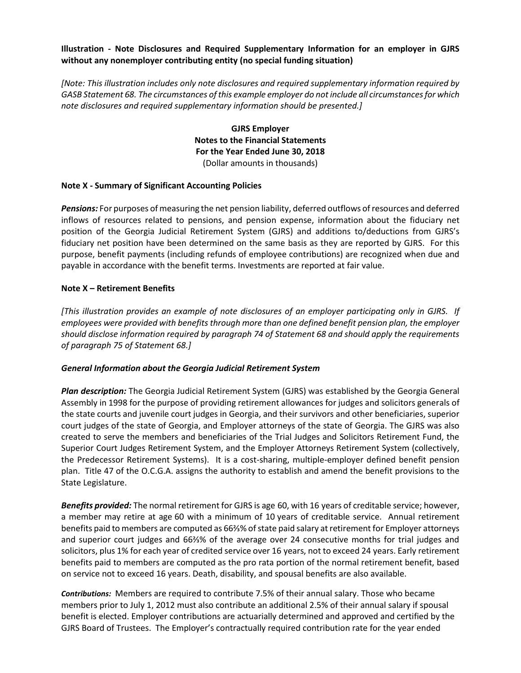### **Illustration - Note Disclosures and Required Supplementary Information for an employer in GJRS without any nonemployer contributing entity (no special funding situation)**

*[Note: This illustration includes only note disclosures and required supplementary information required by GASB Statement 68. The circumstances of this example employer do not include all circumstances for which note disclosures and required supplementary information should be presented.]*

> **GJRS Employer Notes to the Financial Statements For the Year Ended June 30, 2018** (Dollar amounts in thousands)

#### **Note X - Summary of Significant Accounting Policies**

*Pensions:* For purposes of measuring the net pension liability, deferred outflows of resources and deferred inflows of resources related to pensions, and pension expense, information about the fiduciary net position of the Georgia Judicial Retirement System (GJRS) and additions to/deductions from GJRS's fiduciary net position have been determined on the same basis as they are reported by GJRS. For this purpose, benefit payments (including refunds of employee contributions) are recognized when due and payable in accordance with the benefit terms. Investments are reported at fair value.

#### **Note X – Retirement Benefits**

*[This illustration provides an example of note disclosures of an employer participating only in GJRS. If employees were provided with benefits through more than one defined benefit pension plan, the employer should disclose information required by paragraph 74 of Statement 68 and should apply the requirements of paragraph 75 of Statement 68.]*

#### *General Information about the Georgia Judicial Retirement System*

*Plan description:* The Georgia Judicial Retirement System (GJRS) was established by the Georgia General Assembly in 1998 for the purpose of providing retirement allowances for judges and solicitors generals of the state courts and juvenile court judges in Georgia, and their survivors and other beneficiaries, superior court judges of the state of Georgia, and Employer attorneys of the state of Georgia. The GJRS was also created to serve the members and beneficiaries of the Trial Judges and Solicitors Retirement Fund, the Superior Court Judges Retirement System, and the Employer Attorneys Retirement System (collectively, the Predecessor Retirement Systems). It is a cost-sharing, multiple-employer defined benefit pension plan. Title 47 of the O.C.G.A. assigns the authority to establish and amend the benefit provisions to the State Legislature.

*Benefits provided:* The normal retirement for GJRS is age 60, with 16 years of creditable service; however, a member may retire at age 60 with a minimum of 10 years of creditable service. Annual retirement benefits paid to members are computed as 66⅔% of state paid salary at retirement for Employer attorneys and superior court judges and 66⅔% of the average over 24 consecutive months for trial judges and solicitors, plus 1% for each year of credited service over 16 years, not to exceed 24 years. Early retirement benefits paid to members are computed as the pro rata portion of the normal retirement benefit, based on service not to exceed 16 years. Death, disability, and spousal benefits are also available.

*Contributions:* Members are required to contribute 7.5% of their annual salary. Those who became members prior to July 1, 2012 must also contribute an additional 2.5% of their annual salary if spousal benefit is elected. Employer contributions are actuarially determined and approved and certified by the GJRS Board of Trustees. The Employer's contractually required contribution rate for the year ended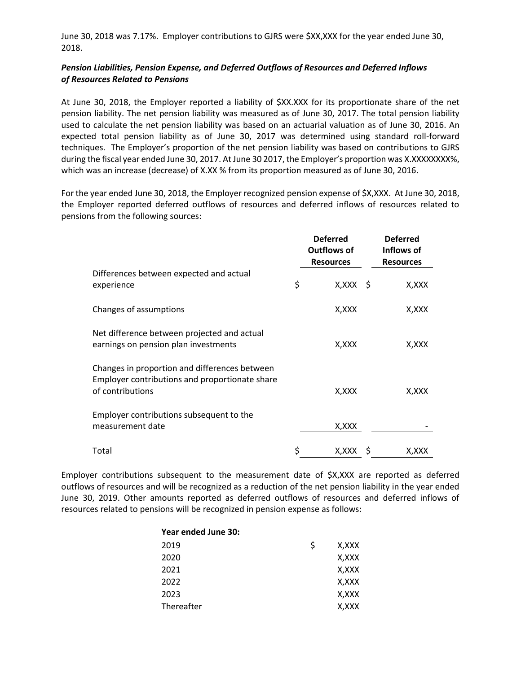June 30, 2018 was 7.17%. Employer contributions to GJRS were \$XX,XXX for the year ended June 30, 2018.

# *Pension Liabilities, Pension Expense, and Deferred Outflows of Resources and Deferred Inflows of Resources Related to Pensions*

At June 30, 2018, the Employer reported a liability of \$XX.XXX for its proportionate share of the net pension liability. The net pension liability was measured as of June 30, 2017. The total pension liability used to calculate the net pension liability was based on an actuarial valuation as of June 30, 2016. An expected total pension liability as of June 30, 2017 was determined using standard roll-forward techniques. The Employer's proportion of the net pension liability was based on contributions to GJRS during the fiscal year ended June 30, 2017. At June 30 2017, the Employer's proportion was X.XXXXXXXX%, which was an increase (decrease) of X.XX % from its proportion measured as of June 30, 2016.

For the year ended June 30, 2018, the Employer recognized pension expense of \$X,XXX. At June 30, 2018, the Employer reported deferred outflows of resources and deferred inflows of resources related to pensions from the following sources:

|                                                                                                                     |    | <b>Deferred</b><br><b>Outflows of</b><br><b>Resources</b> | <b>Deferred</b><br>Inflows of<br><b>Resources</b> |
|---------------------------------------------------------------------------------------------------------------------|----|-----------------------------------------------------------|---------------------------------------------------|
| Differences between expected and actual<br>experience                                                               | \$ | $X, XXX \S$                                               | X,XXX                                             |
| Changes of assumptions                                                                                              |    | X,XXX                                                     | X,XXX                                             |
| Net difference between projected and actual<br>earnings on pension plan investments                                 |    | X,XXX                                                     | X, XXX                                            |
| Changes in proportion and differences between<br>Employer contributions and proportionate share<br>of contributions |    | X,XXX                                                     | X,XXX                                             |
| Employer contributions subsequent to the<br>measurement date                                                        |    | X, XXX                                                    |                                                   |
| Total                                                                                                               | Ś  | X,XXX                                                     | X,XXX                                             |

Employer contributions subsequent to the measurement date of \$X,XXX are reported as deferred outflows of resources and will be recognized as a reduction of the net pension liability in the year ended June 30, 2019. Other amounts reported as deferred outflows of resources and deferred inflows of resources related to pensions will be recognized in pension expense as follows:

| Year ended June 30: |    |        |
|---------------------|----|--------|
| 2019                | S. | X,XXX  |
| 2020                |    | X, XXX |
| 2021                |    | X,XXX  |
| 2022                |    | X,XXX  |
| 2023                |    | X.XXX  |
| Thereafter          |    | X,XXX  |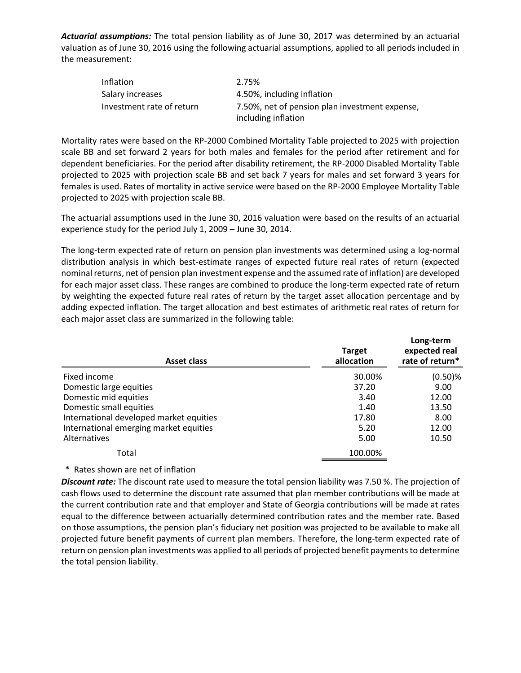*Actuarial assumptions:* The total pension liability as of June 30, 2017 was determined by an actuarial valuation as of June 30, 2016 using the following actuarial assumptions, applied to all periods included in the measurement:

| <b>Inflation</b>          | 2.75%                                                                 |
|---------------------------|-----------------------------------------------------------------------|
| Salary increases          | 4.50%, including inflation                                            |
| Investment rate of return | 7.50%, net of pension plan investment expense,<br>including inflation |

Mortality rates were based on the RP-2000 Combined Mortality Table projected to 2025 with projection scale BB and set forward 2 years for both males and females for the period after retirement and for dependent beneficiaries. For the period after disability retirement, the RP-2000 Disabled Mortality Table projected to 2025 with projection scale BB and set back 7 years for males and set forward 3 years for females is used. Rates of mortality in active service were based on the RP-2000 Employee Mortality Table projected to 2025 with projection scale BB.

The actuarial assumptions used in the June 30, 2016 valuation were based on the results of an actuarial experience study for the period July 1, 2009 – June 30, 2014.

The long-term expected rate of return on pension plan investments was determined using a log-normal distribution analysis in which best-estimate ranges of expected future real rates of return (expected nominal returns, net of pension plan investment expense and the assumed rate of inflation) are developed for each major asset class. These ranges are combined to produce the long-term expected rate of return by weighting the expected future real rates of return by the target asset allocation percentage and by adding expected inflation. The target allocation and best estimates of arithmetic real rates of return for each major asset class are summarized in the following table:

| <b>Asset class</b>                      | <b>Target</b><br>allocation | Long-term<br>expected real<br>rate of return* |
|-----------------------------------------|-----------------------------|-----------------------------------------------|
| Fixed income                            | 30.00%                      | $(0.50)$ %                                    |
| Domestic large equities                 | 37.20                       | 9.00                                          |
| Domestic mid equities                   | 3.40                        | 12.00                                         |
| Domestic small equities                 | 1.40                        | 13.50                                         |
| International developed market equities | 17.80                       | 8.00                                          |
| International emerging market equities  | 5.20                        | 12.00                                         |
| Alternatives                            | 5.00                        | 10.50                                         |
| Total                                   | 100.00%                     |                                               |

#### \* Rates shown are net of inflation

*Discount rate:* The discount rate used to measure the total pension liability was 7.50 %. The projection of cash flows used to determine the discount rate assumed that plan member contributions will be made at the current contribution rate and that employer and State of Georgia contributions will be made at rates equal to the difference between actuarially determined contribution rates and the member rate. Based on those assumptions, the pension plan's fiduciary net position was projected to be available to make all projected future benefit payments of current plan members. Therefore, the long-term expected rate of return on pension plan investments was applied to all periods of projected benefit payments to determine the total pension liability.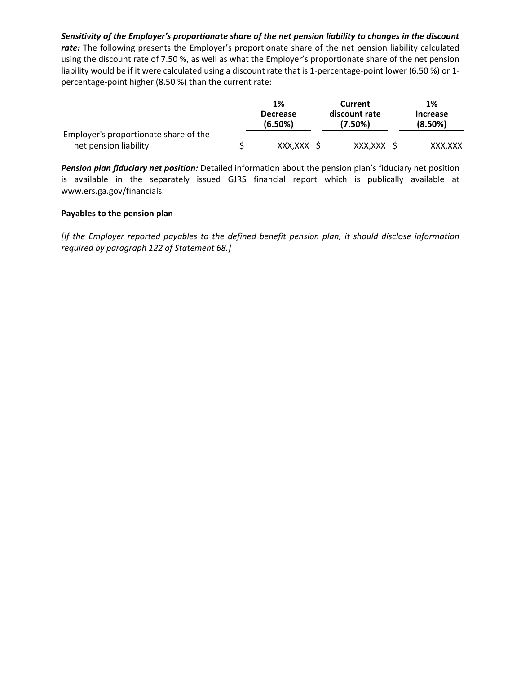*Sensitivity of the Employer's proportionate share of the net pension liability to changes in the discount*  rate: The following presents the Employer's proportionate share of the net pension liability calculated using the discount rate of 7.50 %, as well as what the Employer's proportionate share of the net pension liability would be if it were calculated using a discount rate that is 1-percentage-point lower (6.50 %) or 1 percentage-point higher (8.50 %) than the current rate:

|                                       | 1%                         | Current                  | 1%                         |
|---------------------------------------|----------------------------|--------------------------|----------------------------|
|                                       | <b>Decrease</b><br>(6.50%) | discount rate<br>(7.50%) | <b>Increase</b><br>(8.50%) |
| Employer's proportionate share of the |                            |                          |                            |
| net pension liability                 | XXX.XXX S                  | XXX.XXX S                | XXX.XXX                    |

*Pension plan fiduciary net position:* Detailed information about the pension plan's fiduciary net position is available in the separately issued GJRS financial report which is publically available at www.ers.ga.gov/financials.

# **Payables to the pension plan**

*[If the Employer reported payables to the defined benefit pension plan, it should disclose information required by paragraph 122 of Statement 68.]*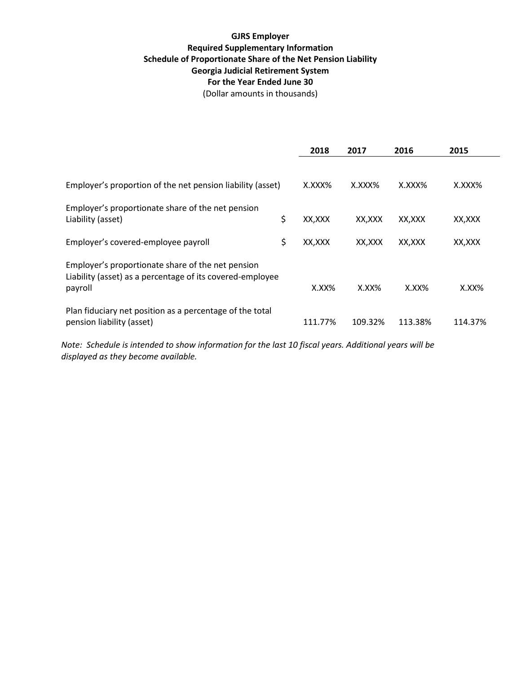# **GJRS Employer Required Supplementary Information Schedule of Proportionate Share of the Net Pension Liability Georgia Judicial Retirement System For the Year Ended June 30**

(Dollar amounts in thousands)

|                                                                                                                           | 2018          | 2017     | 2016     | 2015    |
|---------------------------------------------------------------------------------------------------------------------------|---------------|----------|----------|---------|
| Employer's proportion of the net pension liability (asset)                                                                | X.XXX%        | X.XXX%   | X.XXX%   | X.XXX%  |
| Employer's proportionate share of the net pension<br>Liability (asset)                                                    | \$<br>XX,XXX  | XX,XXX   | XX,XXX   | XX,XXX  |
| Employer's covered-employee payroll                                                                                       | \$<br>XX, XXX | XX,XXX   | XX,XXX   | XX,XXX  |
| Employer's proportionate share of the net pension<br>Liability (asset) as a percentage of its covered-employee<br>payroll | $X.XX\%$      | $X.XX\%$ | $X.XX\%$ | X.XX%   |
| Plan fiduciary net position as a percentage of the total<br>pension liability (asset)                                     | 111.77%       | 109.32%  | 113.38%  | 114.37% |

*Note: Schedule is intended to show information for the last 10 fiscal years. Additional years will be displayed as they become available.*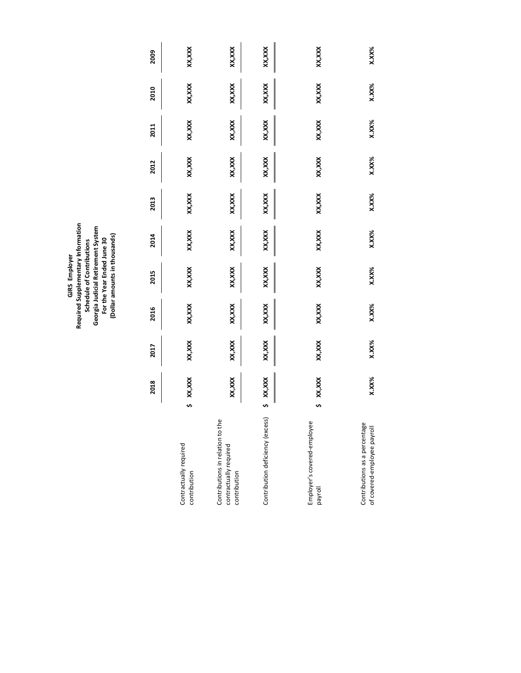GJRS Employer<br>Required Supplementary Information<br>Schedule of Contributions<br>Georgia Judicial Retirement System<br>For the Year Ended June 30<br>(Dollar amounts in thousands) **Required Supplementary Information Georgia Judicial Retirement System (Dollar amounts in thousands) For the Year Ended June 30 Schedule of Contributions GJRS Employer**

|                                                                            |   | 2018     | 2017   | 2016   | 2015     | 2014     | 2013   | 2012   | 2011    | 2010     | 2009     |
|----------------------------------------------------------------------------|---|----------|--------|--------|----------|----------|--------|--------|---------|----------|----------|
| Contractually required<br>contribution                                     | s | XX,XXX   | XX,XXX | XX,XXX | XX, XXX  | XX, XXX  | XX,XXX | XX,XXX | XX, XXX | XX,XXX   | XX, XXX  |
| Contributions in relation to the<br>contractually required<br>contribution |   | XX, XXX  | XX,XXX | XX,XXX | XX, XXX  | XX, XXX  | XX,XXX | XX,XXX | XX, XXX | XX, XXX  | XX,XXX   |
| Contribution deficiency (excess)                                           |   | XX,XXX   | XX,XXX | XX,XXX | XX, XXX  | XX, XXX  | XX,XXX | XX,XXX | XX, XXX | XX, XXX  | XX,XXX   |
| Employer's covered-employee<br>payroll                                     | s | XX,XXX   | XX,XXX | XX,XXX | XX, XXX  | XX, XXX  | XX,XXX | XX,XXX | XX, XXX | XX, XXX  | XX,XXX   |
| Contributions as a percentage<br>of covered-employee payroll               |   | $X.XX\%$ | X.XX%  | X.XX%  | $X.XX\%$ | $X.XX\%$ | X.XX%  | X.XX%  | X.XX%   | $X.XX\%$ | $X.XX\%$ |